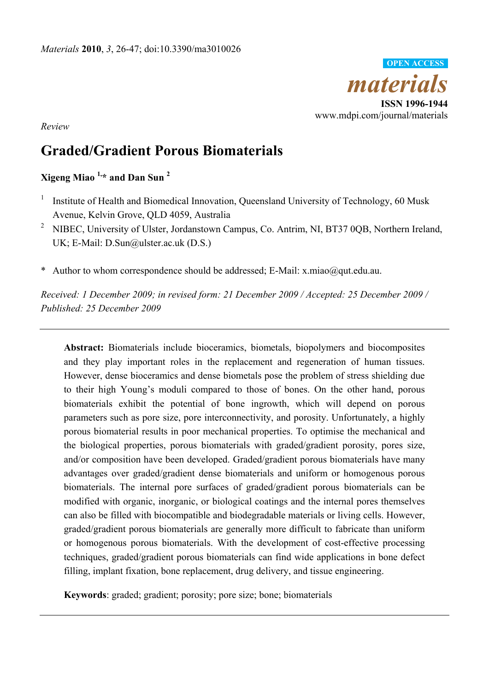

*Review* 

# **Graded/Gradient Porous Biomaterials**

## **Xigeng Miao 1,\* and Dan Sun 2**

- <sup>1</sup> Institute of Health and Biomedical Innovation, Queensland University of Technology, 60 Musk Avenue, Kelvin Grove, QLD 4059, Australia
- <sup>2</sup> NIBEC, University of Ulster, Jordanstown Campus, Co. Antrim, NI, BT37 0QB, Northern Ireland, UK; E-Mail: D.Sun@ulster.ac.uk (D.S.)
- \* Author to whom correspondence should be addressed; E-Mail: x.miao@qut.edu.au.

*Received: 1 December 2009; in revised form: 21 December 2009 / Accepted: 25 December 2009 / Published: 25 December 2009* 

**Abstract:** Biomaterials include bioceramics, biometals, biopolymers and biocomposites and they play important roles in the replacement and regeneration of human tissues. However, dense bioceramics and dense biometals pose the problem of stress shielding due to their high Young's moduli compared to those of bones. On the other hand, porous biomaterials exhibit the potential of bone ingrowth, which will depend on porous parameters such as pore size, pore interconnectivity, and porosity. Unfortunately, a highly porous biomaterial results in poor mechanical properties. To optimise the mechanical and the biological properties, porous biomaterials with graded/gradient porosity, pores size, and/or composition have been developed. Graded/gradient porous biomaterials have many advantages over graded/gradient dense biomaterials and uniform or homogenous porous biomaterials. The internal pore surfaces of graded/gradient porous biomaterials can be modified with organic, inorganic, or biological coatings and the internal pores themselves can also be filled with biocompatible and biodegradable materials or living cells. However, graded/gradient porous biomaterials are generally more difficult to fabricate than uniform or homogenous porous biomaterials. With the development of cost-effective processing techniques, graded/gradient porous biomaterials can find wide applications in bone defect filling, implant fixation, bone replacement, drug delivery, and tissue engineering.

**Keywords**: graded; gradient; porosity; pore size; bone; biomaterials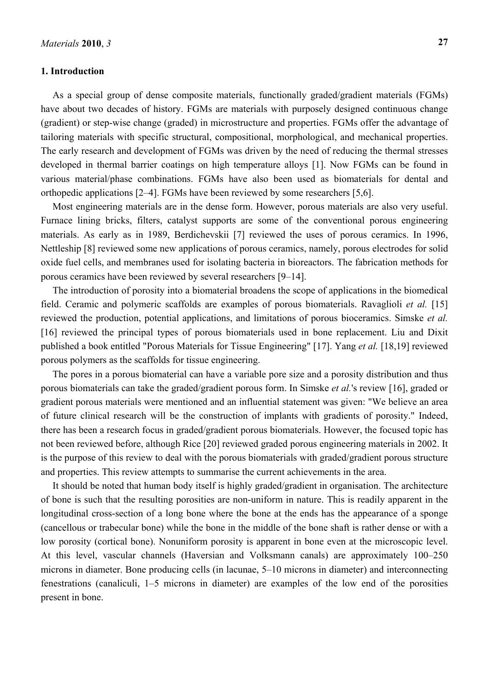## **1. Introduction**

As a special group of dense composite materials, functionally graded/gradient materials (FGMs) have about two decades of history. FGMs are materials with purposely designed continuous change (gradient) or step-wise change (graded) in microstructure and properties. FGMs offer the advantage of tailoring materials with specific structural, compositional, morphological, and mechanical properties. The early research and development of FGMs was driven by the need of reducing the thermal stresses developed in thermal barrier coatings on high temperature alloys [1]. Now FGMs can be found in various material/phase combinations. FGMs have also been used as biomaterials for dental and orthopedic applications [2–4]. FGMs have been reviewed by some researchers [5,6].

Most engineering materials are in the dense form. However, porous materials are also very useful. Furnace lining bricks, filters, catalyst supports are some of the conventional porous engineering materials. As early as in 1989, Berdichevskii [7] reviewed the uses of porous ceramics. In 1996, Nettleship [8] reviewed some new applications of porous ceramics, namely, porous electrodes for solid oxide fuel cells, and membranes used for isolating bacteria in bioreactors. The fabrication methods for porous ceramics have been reviewed by several researchers [9–14].

The introduction of porosity into a biomaterial broadens the scope of applications in the biomedical field. Ceramic and polymeric scaffolds are examples of porous biomaterials. Ravaglioli *et al.* [15] reviewed the production, potential applications, and limitations of porous bioceramics. Simske *et al.* [16] reviewed the principal types of porous biomaterials used in bone replacement. Liu and Dixit published a book entitled "Porous Materials for Tissue Engineering" [17]. Yang *et al.* [18,19] reviewed porous polymers as the scaffolds for tissue engineering.

The pores in a porous biomaterial can have a variable pore size and a porosity distribution and thus porous biomaterials can take the graded/gradient porous form. In Simske *et al.*'s review [16], graded or gradient porous materials were mentioned and an influential statement was given: "We believe an area of future clinical research will be the construction of implants with gradients of porosity." Indeed, there has been a research focus in graded/gradient porous biomaterials. However, the focused topic has not been reviewed before, although Rice [20] reviewed graded porous engineering materials in 2002. It is the purpose of this review to deal with the porous biomaterials with graded/gradient porous structure and properties. This review attempts to summarise the current achievements in the area.

It should be noted that human body itself is highly graded/gradient in organisation. The architecture of bone is such that the resulting porosities are non-uniform in nature. This is readily apparent in the longitudinal cross-section of a long bone where the bone at the ends has the appearance of a sponge (cancellous or trabecular bone) while the bone in the middle of the bone shaft is rather dense or with a low porosity (cortical bone). Nonuniform porosity is apparent in bone even at the microscopic level. At this level, vascular channels (Haversian and Volksmann canals) are approximately 100–250 microns in diameter. Bone producing cells (in lacunae, 5–10 microns in diameter) and interconnecting fenestrations (canaliculi, 1–5 microns in diameter) are examples of the low end of the porosities present in bone.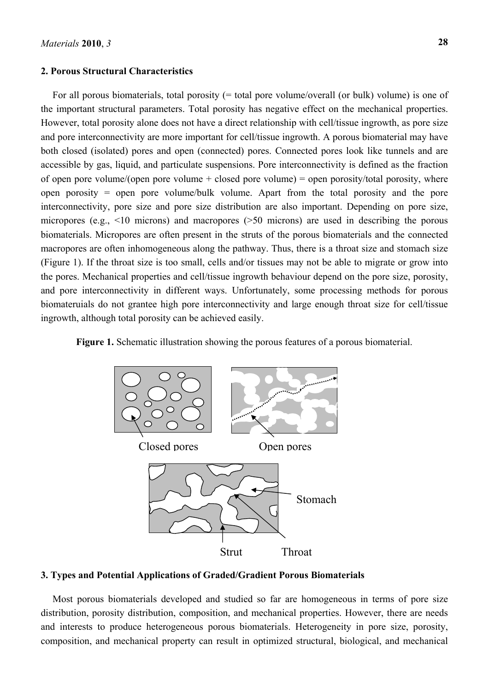#### **2. Porous Structural Characteristics**

For all porous biomaterials, total porosity (= total pore volume/overall (or bulk) volume) is one of the important structural parameters. Total porosity has negative effect on the mechanical properties. However, total porosity alone does not have a direct relationship with cell/tissue ingrowth, as pore size and pore interconnectivity are more important for cell/tissue ingrowth. A porous biomaterial may have both closed (isolated) pores and open (connected) pores. Connected pores look like tunnels and are accessible by gas, liquid, and particulate suspensions. Pore interconnectivity is defined as the fraction of open pore volume/(open pore volume  $+$  closed pore volume) = open porosity/total porosity, where open porosity = open pore volume/bulk volume. Apart from the total porosity and the pore interconnectivity, pore size and pore size distribution are also important. Depending on pore size, micropores (e.g., <10 microns) and macropores (>50 microns) are used in describing the porous biomaterials. Micropores are often present in the struts of the porous biomaterials and the connected macropores are often inhomogeneous along the pathway. Thus, there is a throat size and stomach size (Figure 1). If the throat size is too small, cells and/or tissues may not be able to migrate or grow into the pores. Mechanical properties and cell/tissue ingrowth behaviour depend on the pore size, porosity, and pore interconnectivity in different ways. Unfortunately, some processing methods for porous biomateruials do not grantee high pore interconnectivity and large enough throat size for cell/tissue ingrowth, although total porosity can be achieved easily.

**Figure 1.** Schematic illustration showing the porous features of a porous biomaterial.



#### **3. Types and Potential Applications of Graded/Gradient Porous Biomaterials**

Most porous biomaterials developed and studied so far are homogeneous in terms of pore size distribution, porosity distribution, composition, and mechanical properties. However, there are needs and interests to produce heterogeneous porous biomaterials. Heterogeneity in pore size, porosity, composition, and mechanical property can result in optimized structural, biological, and mechanical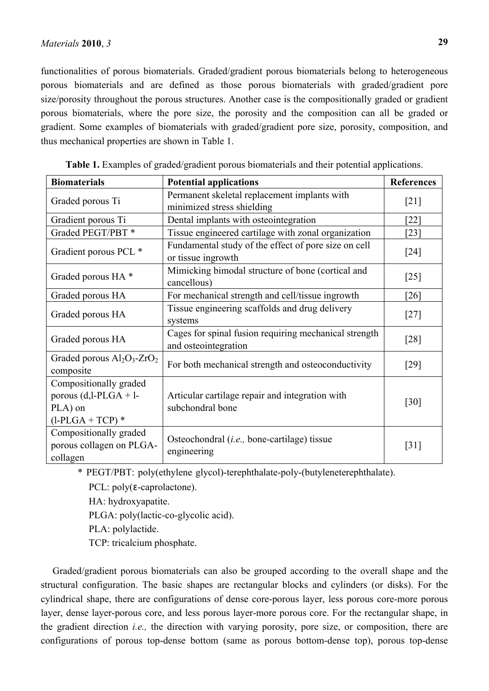functionalities of porous biomaterials. Graded/gradient porous biomaterials belong to heterogeneous porous biomaterials and are defined as those porous biomaterials with graded/gradient pore size/porosity throughout the porous structures. Another case is the compositionally graded or gradient porous biomaterials, where the pore size, the porosity and the composition can all be graded or gradient. Some examples of biomaterials with graded/gradient pore size, porosity, composition, and thus mechanical properties are shown in Table 1.

| <b>Biomaterials</b>                                                             | <b>Potential applications</b>                                                 | <b>References</b>  |
|---------------------------------------------------------------------------------|-------------------------------------------------------------------------------|--------------------|
| Graded porous Ti                                                                | Permanent skeletal replacement implants with<br>minimized stress shielding    | $\lceil 21 \rceil$ |
| Gradient porous Ti                                                              | Dental implants with osteointegration                                         | $\lceil 22 \rceil$ |
| Graded PEGT/PBT *                                                               | Tissue engineered cartilage with zonal organization                           | $[23]$             |
| Gradient porous PCL *                                                           | Fundamental study of the effect of pore size on cell<br>or tissue ingrowth    | $\lceil 24 \rceil$ |
| Graded porous HA <sup>*</sup>                                                   | Mimicking bimodal structure of bone (cortical and<br>cancellous)              | $[25]$             |
| Graded porous HA                                                                | For mechanical strength and cell/tissue ingrowth                              | $\lceil 26 \rceil$ |
| Graded porous HA                                                                | Tissue engineering scaffolds and drug delivery<br>systems                     | $[27]$             |
| Graded porous HA                                                                | Cages for spinal fusion requiring mechanical strength<br>and osteointegration | $[28]$             |
| Graded porous Al <sub>2</sub> O <sub>3</sub> -ZrO <sub>2</sub><br>composite     | For both mechanical strength and osteoconductivity                            | [29]               |
| Compositionally graded<br>porous $(d,l-PLGA + l-$<br>PLA) on<br>$(1-PLGA+TCP)*$ | Articular cartilage repair and integration with<br>subchondral bone           | $\lceil 30 \rceil$ |
| Compositionally graded<br>porous collagen on PLGA-<br>collagen                  | Osteochondral $(i.e., bone-cartilage)$ tissue<br>engineering                  | $\lceil 31 \rceil$ |

**Table 1.** Examples of graded/gradient porous biomaterials and their potential applications.

\* PEGT/PBT: poly(ethylene glycol)-terephthalate-poly-(butyleneterephthalate).

PCL:  $poly(\epsilon$ -caprolactone).

HA: hydroxyapatite.

PLGA: poly(lactic-co-glycolic acid).

PLA: polylactide.

TCP: tricalcium phosphate.

Graded/gradient porous biomaterials can also be grouped according to the overall shape and the structural configuration. The basic shapes are rectangular blocks and cylinders (or disks). For the cylindrical shape, there are configurations of dense core-porous layer, less porous core-more porous layer, dense layer-porous core, and less porous layer-more porous core. For the rectangular shape, in the gradient direction *i.e.,* the direction with varying porosity, pore size, or composition, there are configurations of porous top-dense bottom (same as porous bottom-dense top), porous top-dense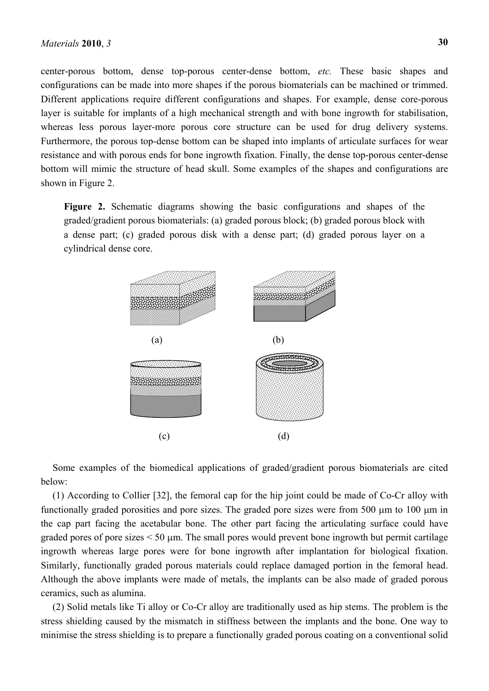center-porous bottom, dense top-porous center-dense bottom, *etc.* These basic shapes and configurations can be made into more shapes if the porous biomaterials can be machined or trimmed. Different applications require different configurations and shapes. For example, dense core-porous layer is suitable for implants of a high mechanical strength and with bone ingrowth for stabilisation, whereas less porous layer-more porous core structure can be used for drug delivery systems. Furthermore, the porous top-dense bottom can be shaped into implants of articulate surfaces for wear resistance and with porous ends for bone ingrowth fixation. Finally, the dense top-porous center-dense bottom will mimic the structure of head skull. Some examples of the shapes and configurations are shown in Figure 2.

**Figure 2.** Schematic diagrams showing the basic configurations and shapes of the graded/gradient porous biomaterials: (a) graded porous block; (b) graded porous block with a dense part; (c) graded porous disk with a dense part; (d) graded porous layer on a cylindrical dense core.



Some examples of the biomedical applications of graded/gradient porous biomaterials are cited below:

(1) According to Collier [32], the femoral cap for the hip joint could be made of Co-Cr alloy with functionally graded porosities and pore sizes. The graded pore sizes were from 500 μm to 100 μm in the cap part facing the acetabular bone. The other part facing the articulating surface could have graded pores of pore sizes < 50 μm. The small pores would prevent bone ingrowth but permit cartilage ingrowth whereas large pores were for bone ingrowth after implantation for biological fixation. Similarly, functionally graded porous materials could replace damaged portion in the femoral head. Although the above implants were made of metals, the implants can be also made of graded porous ceramics, such as alumina.

(2) Solid metals like Ti alloy or Co-Cr alloy are traditionally used as hip stems. The problem is the stress shielding caused by the mismatch in stiffness between the implants and the bone. One way to minimise the stress shielding is to prepare a functionally graded porous coating on a conventional solid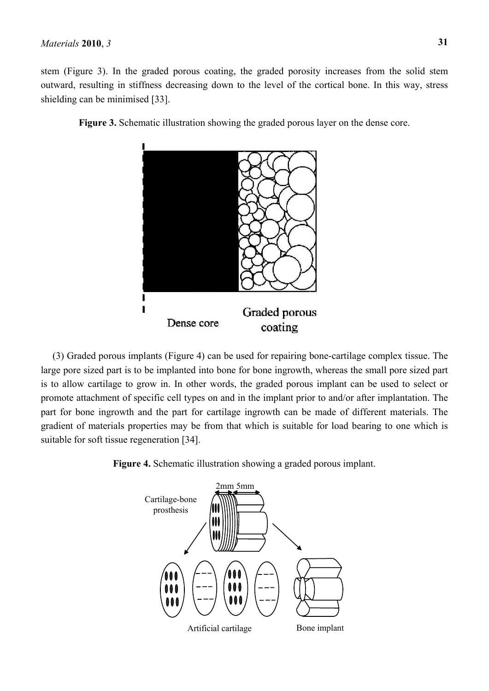stem (Figure 3). In the graded porous coating, the graded porosity increases from the solid stem outward, resulting in stiffness decreasing down to the level of the cortical bone. In this way, stress shielding can be minimised [33].



**Figure 3.** Schematic illustration showing the graded porous layer on the dense core.

(3) Graded porous implants (Figure 4) can be used for repairing bone-cartilage complex tissue. The large pore sized part is to be implanted into bone for bone ingrowth, whereas the small pore sized part is to allow cartilage to grow in. In other words, the graded porous implant can be used to select or promote attachment of specific cell types on and in the implant prior to and/or after implantation. The part for bone ingrowth and the part for cartilage ingrowth can be made of different materials. The gradient of materials properties may be from that which is suitable for load bearing to one which is suitable for soft tissue regeneration [34].

**Figure 4.** Schematic illustration showing a graded porous implant.

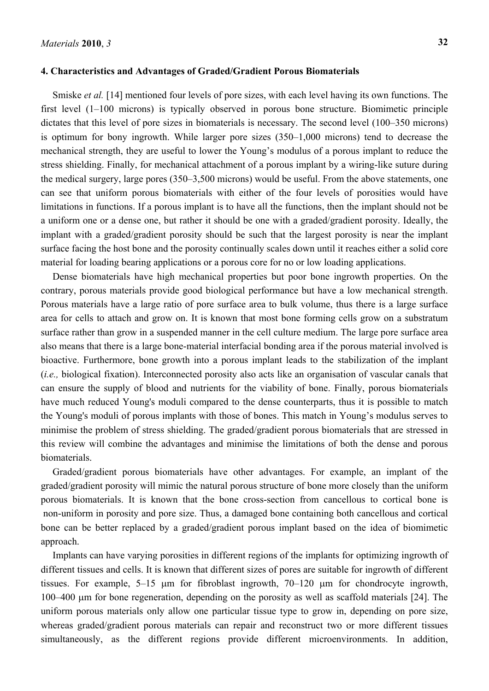## **4. Characteristics and Advantages of Graded/Gradient Porous Biomaterials**

Smiske *et al.* [14] mentioned four levels of pore sizes, with each level having its own functions. The first level (1–100 microns) is typically observed in porous bone structure. Biomimetic principle dictates that this level of pore sizes in biomaterials is necessary. The second level (100–350 microns) is optimum for bony ingrowth. While larger pore sizes (350–1,000 microns) tend to decrease the mechanical strength, they are useful to lower the Young's modulus of a porous implant to reduce the stress shielding. Finally, for mechanical attachment of a porous implant by a wiring-like suture during the medical surgery, large pores (350–3,500 microns) would be useful. From the above statements, one can see that uniform porous biomaterials with either of the four levels of porosities would have limitations in functions. If a porous implant is to have all the functions, then the implant should not be a uniform one or a dense one, but rather it should be one with a graded/gradient porosity. Ideally, the implant with a graded/gradient porosity should be such that the largest porosity is near the implant surface facing the host bone and the porosity continually scales down until it reaches either a solid core material for loading bearing applications or a porous core for no or low loading applications.

Dense biomaterials have high mechanical properties but poor bone ingrowth properties. On the contrary, porous materials provide good biological performance but have a low mechanical strength. Porous materials have a large ratio of pore surface area to bulk volume, thus there is a large surface area for cells to attach and grow on. It is known that most bone forming cells grow on a substratum surface rather than grow in a suspended manner in the cell culture medium. The large pore surface area also means that there is a large bone-material interfacial bonding area if the porous material involved is bioactive. Furthermore, bone growth into a porous implant leads to the stabilization of the implant (*i.e.,* biological fixation). Interconnected porosity also acts like an organisation of vascular canals that can ensure the supply of blood and nutrients for the viability of bone. Finally, porous biomaterials have much reduced Young's moduli compared to the dense counterparts, thus it is possible to match the Young's moduli of porous implants with those of bones. This match in Young's modulus serves to minimise the problem of stress shielding. The graded/gradient porous biomaterials that are stressed in this review will combine the advantages and minimise the limitations of both the dense and porous biomaterials.

Graded/gradient porous biomaterials have other advantages. For example, an implant of the graded/gradient porosity will mimic the natural porous structure of bone more closely than the uniform porous biomaterials. It is known that the bone cross-section from cancellous to cortical bone is non-uniform in porosity and pore size. Thus, a damaged bone containing both cancellous and cortical bone can be better replaced by a graded/gradient porous implant based on the idea of biomimetic approach.

Implants can have varying porosities in different regions of the implants for optimizing ingrowth of different tissues and cells. It is known that different sizes of pores are suitable for ingrowth of different tissues. For example, 5–15 μm for fibroblast ingrowth, 70–120 μm for chondrocyte ingrowth, 100–400 μm for bone regeneration, depending on the porosity as well as scaffold materials [24]. The uniform porous materials only allow one particular tissue type to grow in, depending on pore size, whereas graded/gradient porous materials can repair and reconstruct two or more different tissues simultaneously, as the different regions provide different microenvironments. In addition,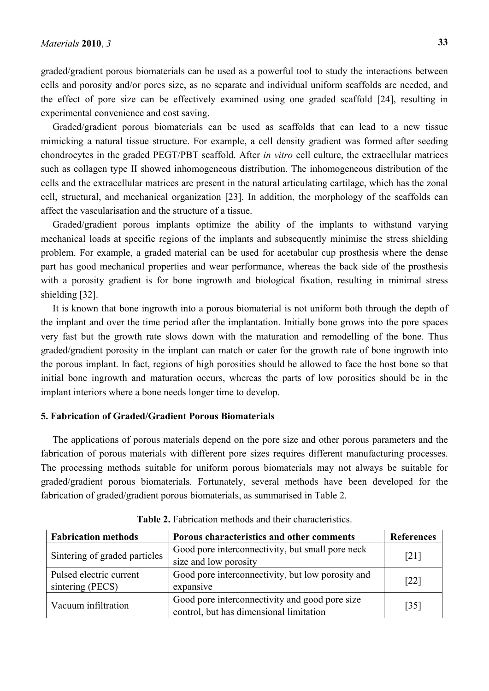graded/gradient porous biomaterials can be used as a powerful tool to study the interactions between cells and porosity and/or pores size, as no separate and individual uniform scaffolds are needed, and the effect of pore size can be effectively examined using one graded scaffold [24], resulting in experimental convenience and cost saving.

Graded/gradient porous biomaterials can be used as scaffolds that can lead to a new tissue mimicking a natural tissue structure. For example, a cell density gradient was formed after seeding chondrocytes in the graded PEGT/PBT scaffold. After *in vitro* cell culture, the extracellular matrices such as collagen type II showed inhomogeneous distribution. The inhomogeneous distribution of the cells and the extracellular matrices are present in the natural articulating cartilage, which has the zonal cell, structural, and mechanical organization [23]. In addition, the morphology of the scaffolds can affect the vascularisation and the structure of a tissue.

Graded/gradient porous implants optimize the ability of the implants to withstand varying mechanical loads at specific regions of the implants and subsequently minimise the stress shielding problem. For example, a graded material can be used for acetabular cup prosthesis where the dense part has good mechanical properties and wear performance, whereas the back side of the prosthesis with a porosity gradient is for bone ingrowth and biological fixation, resulting in minimal stress shielding [32].

It is known that bone ingrowth into a porous biomaterial is not uniform both through the depth of the implant and over the time period after the implantation. Initially bone grows into the pore spaces very fast but the growth rate slows down with the maturation and remodelling of the bone. Thus graded/gradient porosity in the implant can match or cater for the growth rate of bone ingrowth into the porous implant. In fact, regions of high porosities should be allowed to face the host bone so that initial bone ingrowth and maturation occurs, whereas the parts of low porosities should be in the implant interiors where a bone needs longer time to develop.

## **5. Fabrication of Graded/Gradient Porous Biomaterials**

The applications of porous materials depend on the pore size and other porous parameters and the fabrication of porous materials with different pore sizes requires different manufacturing processes. The processing methods suitable for uniform porous biomaterials may not always be suitable for graded/gradient porous biomaterials. Fortunately, several methods have been developed for the fabrication of graded/gradient porous biomaterials, as summarised in Table 2.

| <b>Fabrication methods</b>    | Porous characteristics and other comments         | <b>References</b>  |
|-------------------------------|---------------------------------------------------|--------------------|
| Sintering of graded particles | Good pore interconnectivity, but small pore neck  | $\lceil 21 \rceil$ |
|                               | size and low porosity                             |                    |
| Pulsed electric current       | Good pore interconnectivity, but low porosity and |                    |
| sintering (PECS)              | expansive                                         | [22]               |
| Vacuum infiltration           | Good pore interconnectivity and good pore size    | $\lceil 35 \rceil$ |
|                               | control, but has dimensional limitation           |                    |

**Table 2.** Fabrication methods and their characteristics.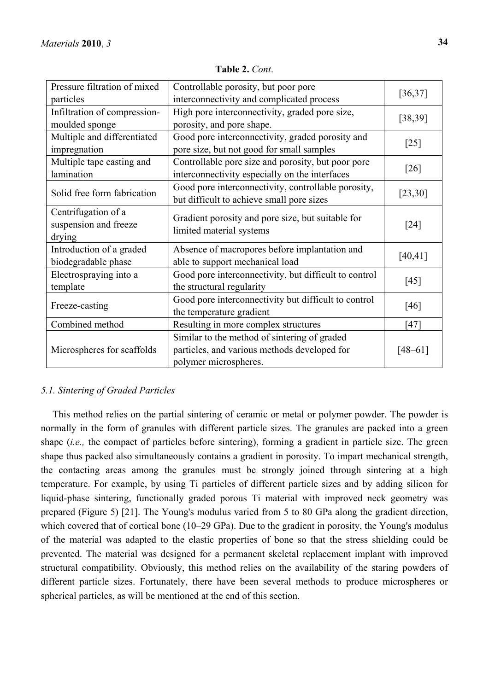| Pressure filtration of mixed<br>particles              | Controllable porosity, but poor pore<br>interconnectivity and complicated process                                     | [36, 37]           |
|--------------------------------------------------------|-----------------------------------------------------------------------------------------------------------------------|--------------------|
| Infiltration of compression-<br>moulded sponge         | High pore interconnectivity, graded pore size,<br>porosity, and pore shape.                                           | [38, 39]           |
| Multiple and differentiated<br>impregnation            | Good pore interconnectivity, graded porosity and<br>pore size, but not good for small samples                         | $\lceil 25 \rceil$ |
| Multiple tape casting and<br>lamination                | Controllable pore size and porosity, but poor pore<br>interconnectivity especially on the interfaces                  | $\lceil 26 \rceil$ |
| Solid free form fabrication                            | Good pore interconnectivity, controllable porosity,<br>but difficult to achieve small pore sizes                      | $[23,30]$          |
| Centrifugation of a<br>suspension and freeze<br>drying | Gradient porosity and pore size, but suitable for<br>limited material systems                                         | $\lceil 24 \rceil$ |
| Introduction of a graded<br>biodegradable phase        | Absence of macropores before implantation and<br>able to support mechanical load                                      | [40, 41]           |
| Electrospraying into a<br>template                     | Good pore interconnectivity, but difficult to control<br>the structural regularity                                    | [45]               |
| Freeze-casting                                         | Good pore interconnectivity but difficult to control<br>the temperature gradient                                      | [46]               |
| Combined method                                        | Resulting in more complex structures                                                                                  | [47]               |
| Microspheres for scaffolds                             | Similar to the method of sintering of graded<br>particles, and various methods developed for<br>polymer microspheres. | $[48 - 61]$        |

**Table 2.** *Cont*.

## *5.1. Sintering of Graded Particles*

This method relies on the partial sintering of ceramic or metal or polymer powder. The powder is normally in the form of granules with different particle sizes. The granules are packed into a green shape (*i.e.,* the compact of particles before sintering), forming a gradient in particle size. The green shape thus packed also simultaneously contains a gradient in porosity. To impart mechanical strength, the contacting areas among the granules must be strongly joined through sintering at a high temperature. For example, by using Ti particles of different particle sizes and by adding silicon for liquid-phase sintering, functionally graded porous Ti material with improved neck geometry was prepared (Figure 5) [21]. The Young's modulus varied from 5 to 80 GPa along the gradient direction, which covered that of cortical bone (10–29 GPa). Due to the gradient in porosity, the Young's modulus of the material was adapted to the elastic properties of bone so that the stress shielding could be prevented. The material was designed for a permanent skeletal replacement implant with improved structural compatibility. Obviously, this method relies on the availability of the staring powders of different particle sizes. Fortunately, there have been several methods to produce microspheres or spherical particles, as will be mentioned at the end of this section.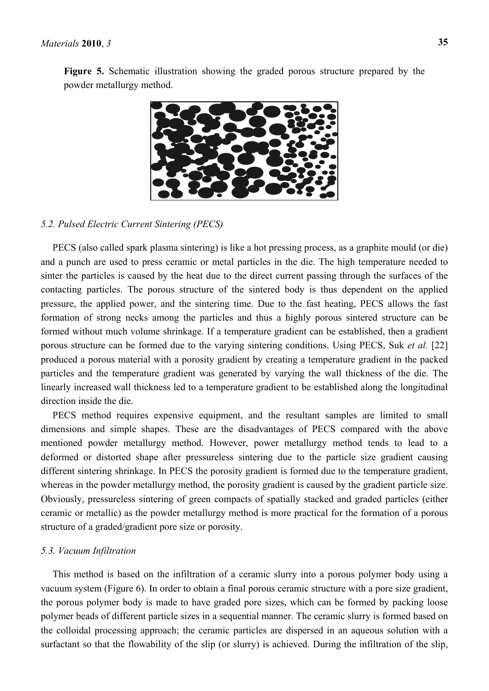**Figure 5.** Schematic illustration showing the graded porous structure prepared by the powder metallurgy method.



## *5.2. Pulsed Electric Current Sintering (PECS)*

PECS (also called spark plasma sintering) is like a hot pressing process, as a graphite mould (or die) and a punch are used to press ceramic or metal particles in the die. The high temperature needed to sinter the particles is caused by the heat due to the direct current passing through the surfaces of the contacting particles. The porous structure of the sintered body is thus dependent on the applied pressure, the applied power, and the sintering time. Due to the fast heating, PECS allows the fast formation of strong necks among the particles and thus a highly porous sintered structure can be formed without much volume shrinkage. If a temperature gradient can be established, then a gradient porous structure can be formed due to the varying sintering conditions. Using PECS, Suk *et al.* [22] produced a porous material with a porosity gradient by creating a temperature gradient in the packed particles and the temperature gradient was generated by varying the wall thickness of the die. The linearly increased wall thickness led to a temperature gradient to be established along the longitudinal direction inside the die.

PECS method requires expensive equipment, and the resultant samples are limited to small dimensions and simple shapes. These are the disadvantages of PECS compared with the above mentioned powder metallurgy method. However, power metallurgy method tends to lead to a deformed or distorted shape after pressureless sintering due to the particle size gradient causing different sintering shrinkage. In PECS the porosity gradient is formed due to the temperature gradient, whereas in the powder metallurgy method, the porosity gradient is caused by the gradient particle size. Obviously, pressureless sintering of green compacts of spatially stacked and graded particles (either ceramic or metallic) as the powder metallurgy method is more practical for the formation of a porous structure of a graded/gradient pore size or porosity.

## *5.3. Vacuum Infiltration*

This method is based on the infiltration of a ceramic slurry into a porous polymer body using a vacuum system (Figure 6). In order to obtain a final porous ceramic structure with a pore size gradient, the porous polymer body is made to have graded pore sizes, which can be formed by packing loose polymer beads of different particle sizes in a sequential manner. The ceramic slurry is formed based on the colloidal processing approach; the ceramic particles are dispersed in an aqueous solution with a surfactant so that the flowability of the slip (or slurry) is achieved. During the infiltration of the slip,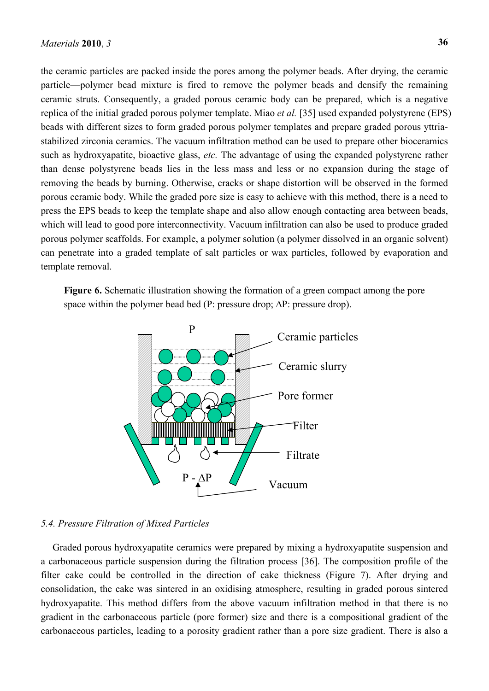the ceramic particles are packed inside the pores among the polymer beads. After drying, the ceramic particle—polymer bead mixture is fired to remove the polymer beads and densify the remaining ceramic struts. Consequently, a graded porous ceramic body can be prepared, which is a negative replica of the initial graded porous polymer template. Miao *et al.* [35] used expanded polystyrene (EPS) beads with different sizes to form graded porous polymer templates and prepare graded porous yttriastabilized zirconia ceramics. The vacuum infiltration method can be used to prepare other bioceramics such as hydroxyapatite, bioactive glass, *etc.* The advantage of using the expanded polystyrene rather than dense polystyrene beads lies in the less mass and less or no expansion during the stage of removing the beads by burning. Otherwise, cracks or shape distortion will be observed in the formed porous ceramic body. While the graded pore size is easy to achieve with this method, there is a need to press the EPS beads to keep the template shape and also allow enough contacting area between beads, which will lead to good pore interconnectivity. Vacuum infiltration can also be used to produce graded porous polymer scaffolds. For example, a polymer solution (a polymer dissolved in an organic solvent) can penetrate into a graded template of salt particles or wax particles, followed by evaporation and template removal.

**Figure 6.** Schematic illustration showing the formation of a green compact among the pore space within the polymer bead bed (P: pressure drop;  $\Delta P$ : pressure drop).



## *5.4. Pressure Filtration of Mixed Particles*

Graded porous hydroxyapatite ceramics were prepared by mixing a hydroxyapatite suspension and a carbonaceous particle suspension during the filtration process [36]. The composition profile of the filter cake could be controlled in the direction of cake thickness (Figure 7). After drying and consolidation, the cake was sintered in an oxidising atmosphere, resulting in graded porous sintered hydroxyapatite. This method differs from the above vacuum infiltration method in that there is no gradient in the carbonaceous particle (pore former) size and there is a compositional gradient of the carbonaceous particles, leading to a porosity gradient rather than a pore size gradient. There is also a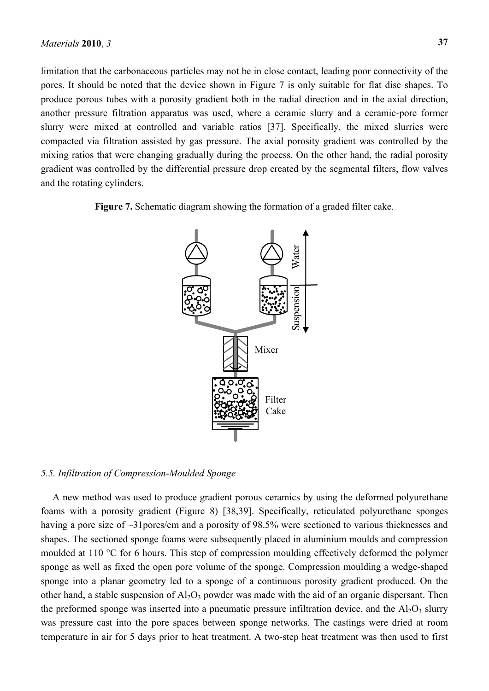limitation that the carbonaceous particles may not be in close contact, leading poor connectivity of the pores. It should be noted that the device shown in Figure 7 is only suitable for flat disc shapes. To produce porous tubes with a porosity gradient both in the radial direction and in the axial direction, another pressure filtration apparatus was used, where a ceramic slurry and a ceramic-pore former slurry were mixed at controlled and variable ratios [37]. Specifically, the mixed slurries were compacted via filtration assisted by gas pressure. The axial porosity gradient was controlled by the mixing ratios that were changing gradually during the process. On the other hand, the radial porosity gradient was controlled by the differential pressure drop created by the segmental filters, flow valves and the rotating cylinders.

**Figure 7.** Schematic diagram showing the formation of a graded filter cake.



#### *5.5. Infiltration of Compression-Moulded Sponge*

A new method was used to produce gradient porous ceramics by using the deformed polyurethane foams with a porosity gradient (Figure 8) [38,39]. Specifically, reticulated polyurethane sponges having a pore size of ~31pores/cm and a porosity of 98.5% were sectioned to various thicknesses and shapes. The sectioned sponge foams were subsequently placed in aluminium moulds and compression moulded at 110 °C for 6 hours. This step of compression moulding effectively deformed the polymer sponge as well as fixed the open pore volume of the sponge. Compression moulding a wedge-shaped sponge into a planar geometry led to a sponge of a continuous porosity gradient produced. On the other hand, a stable suspension of  $Al_2O_3$  powder was made with the aid of an organic dispersant. Then the preformed sponge was inserted into a pneumatic pressure infiltration device, and the  $A<sub>12</sub>O<sub>3</sub>$  slurry was pressure cast into the pore spaces between sponge networks. The castings were dried at room temperature in air for 5 days prior to heat treatment. A two-step heat treatment was then used to first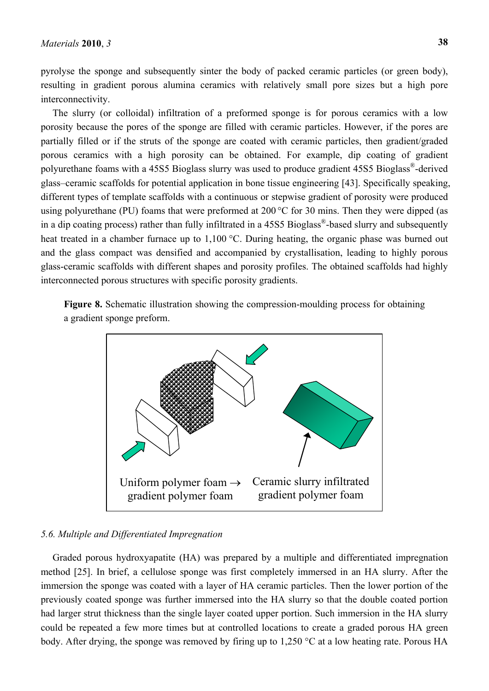pyrolyse the sponge and subsequently sinter the body of packed ceramic particles (or green body), resulting in gradient porous alumina ceramics with relatively small pore sizes but a high pore interconnectivity.

The slurry (or colloidal) infiltration of a preformed sponge is for porous ceramics with a low porosity because the pores of the sponge are filled with ceramic particles. However, if the pores are partially filled or if the struts of the sponge are coated with ceramic particles, then gradient/graded porous ceramics with a high porosity can be obtained. For example, dip coating of gradient polyurethane foams with a 45S5 Bioglass slurry was used to produce gradient 45S5 Bioglass®-derived glass–ceramic scaffolds for potential application in bone tissue engineering [43]. Specifically speaking, different types of template scaffolds with a continuous or stepwise gradient of porosity were produced using polyurethane (PU) foams that were preformed at 200 °C for 30 mins. Then they were dipped (as in a dip coating process) rather than fully infiltrated in a 45S5 Bioglass®-based slurry and subsequently heat treated in a chamber furnace up to 1,100 °C. During heating, the organic phase was burned out and the glass compact was densified and accompanied by crystallisation, leading to highly porous glass-ceramic scaffolds with different shapes and porosity profiles. The obtained scaffolds had highly interconnected porous structures with specific porosity gradients.

**Figure 8.** Schematic illustration showing the compression-moulding process for obtaining a gradient sponge preform.



## *5.6. Multiple and Differentiated Impregnation*

Graded porous hydroxyapatite (HA) was prepared by a multiple and differentiated impregnation method [25]. In brief, a cellulose sponge was first completely immersed in an HA slurry. After the immersion the sponge was coated with a layer of HA ceramic particles. Then the lower portion of the previously coated sponge was further immersed into the HA slurry so that the double coated portion had larger strut thickness than the single layer coated upper portion. Such immersion in the HA slurry could be repeated a few more times but at controlled locations to create a graded porous HA green body. After drying, the sponge was removed by firing up to 1,250 °C at a low heating rate. Porous HA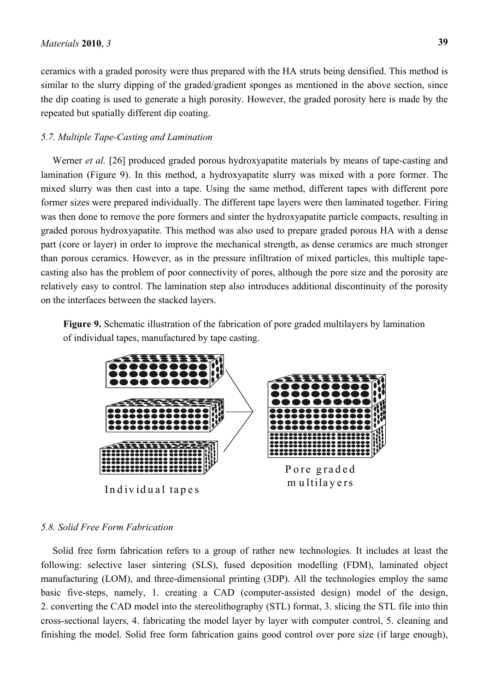ceramics with a graded porosity were thus prepared with the HA struts being densified. This method is similar to the slurry dipping of the graded/gradient sponges as mentioned in the above section, since the dip coating is used to generate a high porosity. However, the graded porosity here is made by the repeated but spatially different dip coating.

#### *5.7. Multiple Tape-Casting and Lamination*

Werner *et al.* [26] produced graded porous hydroxyapatite materials by means of tape-casting and lamination (Figure 9). In this method, a hydroxyapatite slurry was mixed with a pore former. The mixed slurry was then cast into a tape. Using the same method, different tapes with different pore former sizes were prepared individually. The different tape layers were then laminated together. Firing was then done to remove the pore formers and sinter the hydroxyapatite particle compacts, resulting in graded porous hydroxyapatite. This method was also used to prepare graded porous HA with a dense part (core or layer) in order to improve the mechanical strength, as dense ceramics are much stronger than porous ceramics. However, as in the pressure infiltration of mixed particles, this multiple tapecasting also has the problem of poor connectivity of pores, although the pore size and the porosity are relatively easy to control. The lamination step also introduces additional discontinuity of the porosity on the interfaces between the stacked layers.

**Figure 9.** Schematic illustration of the fabrication of pore graded multilayers by lamination of individual tapes, manufactured by tape casting.



## *5.8. Solid Free Form Fabrication*

Solid free form fabrication refers to a group of rather new technologies. It includes at least the following: selective laser sintering (SLS), fused deposition modelling (FDM), laminated object manufacturing (LOM), and three-dimensional printing (3DP). All the technologies employ the same basic five-steps, namely, 1. creating a CAD (computer-assisted design) model of the design, 2. converting the CAD model into the stereolithography (STL) format, 3. slicing the STL file into thin cross-sectional layers, 4. fabricating the model layer by layer with computer control, 5. cleaning and finishing the model. Solid free form fabrication gains good control over pore size (if large enough),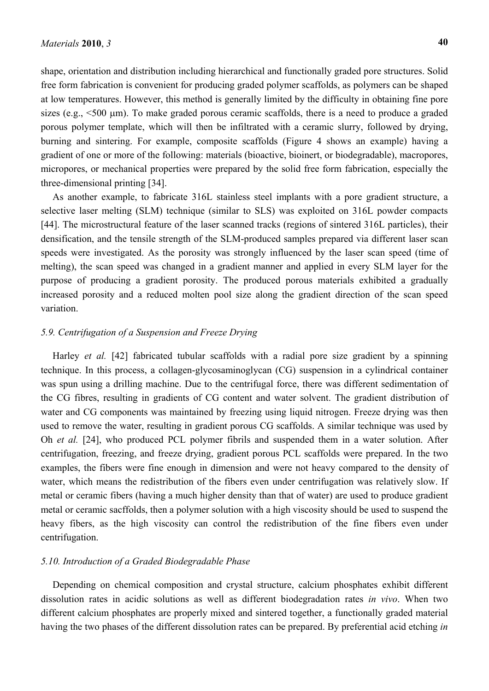shape, orientation and distribution including hierarchical and functionally graded pore structures. Solid free form fabrication is convenient for producing graded polymer scaffolds, as polymers can be shaped at low temperatures. However, this method is generally limited by the difficulty in obtaining fine pore sizes (e.g., <500 μm). To make graded porous ceramic scaffolds, there is a need to produce a graded porous polymer template, which will then be infiltrated with a ceramic slurry, followed by drying, burning and sintering. For example, composite scaffolds (Figure 4 shows an example) having a gradient of one or more of the following: materials (bioactive, bioinert, or biodegradable), macropores, micropores, or mechanical properties were prepared by the solid free form fabrication, especially the three-dimensional printing [34].

As another example, to fabricate 316L stainless steel implants with a pore gradient structure, a selective laser melting (SLM) technique (similar to SLS) was exploited on 316L powder compacts [44]. The microstructural feature of the laser scanned tracks (regions of sintered 316L particles), their densification, and the tensile strength of the SLM-produced samples prepared via different laser scan speeds were investigated. As the porosity was strongly influenced by the laser scan speed (time of melting), the scan speed was changed in a gradient manner and applied in every SLM layer for the purpose of producing a gradient porosity. The produced porous materials exhibited a gradually increased porosity and a reduced molten pool size along the gradient direction of the scan speed variation.

## *5.9. Centrifugation of a Suspension and Freeze Drying*

Harley *et al.* [42] fabricated tubular scaffolds with a radial pore size gradient by a spinning technique. In this process, a collagen-glycosaminoglycan (CG) suspension in a cylindrical container was spun using a drilling machine. Due to the centrifugal force, there was different sedimentation of the CG fibres, resulting in gradients of CG content and water solvent. The gradient distribution of water and CG components was maintained by freezing using liquid nitrogen. Freeze drying was then used to remove the water, resulting in gradient porous CG scaffolds. A similar technique was used by Oh *et al.* [24], who produced PCL polymer fibrils and suspended them in a water solution. After centrifugation, freezing, and freeze drying, gradient porous PCL scaffolds were prepared. In the two examples, the fibers were fine enough in dimension and were not heavy compared to the density of water, which means the redistribution of the fibers even under centrifugation was relatively slow. If metal or ceramic fibers (having a much higher density than that of water) are used to produce gradient metal or ceramic sacffolds, then a polymer solution with a high viscosity should be used to suspend the heavy fibers, as the high viscosity can control the redistribution of the fine fibers even under centrifugation.

## *5.10. Introduction of a Graded Biodegradable Phase*

Depending on chemical composition and crystal structure, calcium phosphates exhibit different dissolution rates in acidic solutions as well as different biodegradation rates *in vivo*. When two different calcium phosphates are properly mixed and sintered together, a functionally graded material having the two phases of the different dissolution rates can be prepared. By preferential acid etching *in*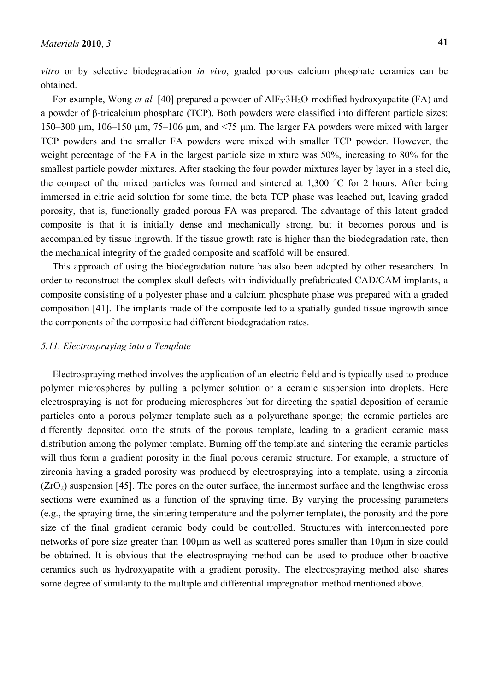obtained. For example, Wong *et al.* [40] prepared a powder of AlF<sub>3</sub>·3H<sub>2</sub>O-modified hydroxyapatite (FA) and a powder of β-tricalcium phosphate (TCP). Both powders were classified into different particle sizes: 150–300 μm, 106–150 μm, 75–106 μm, and <75 μm. The larger FA powders were mixed with larger TCP powders and the smaller FA powders were mixed with smaller TCP powder. However, the weight percentage of the FA in the largest particle size mixture was 50%, increasing to 80% for the smallest particle powder mixtures. After stacking the four powder mixtures layer by layer in a steel die, the compact of the mixed particles was formed and sintered at 1,300 °C for 2 hours. After being immersed in citric acid solution for some time, the beta TCP phase was leached out, leaving graded porosity, that is, functionally graded porous FA was prepared. The advantage of this latent graded composite is that it is initially dense and mechanically strong, but it becomes porous and is accompanied by tissue ingrowth. If the tissue growth rate is higher than the biodegradation rate, then the mechanical integrity of the graded composite and scaffold will be ensured.

This approach of using the biodegradation nature has also been adopted by other researchers. In order to reconstruct the complex skull defects with individually prefabricated CAD/CAM implants, a composite consisting of a polyester phase and a calcium phosphate phase was prepared with a graded composition [41]. The implants made of the composite led to a spatially guided tissue ingrowth since the components of the composite had different biodegradation rates.

## *5.11. Electrospraying into a Template*

Electrospraying method involves the application of an electric field and is typically used to produce polymer microspheres by pulling a polymer solution or a ceramic suspension into droplets. Here electrospraying is not for producing microspheres but for directing the spatial deposition of ceramic particles onto a porous polymer template such as a polyurethane sponge; the ceramic particles are differently deposited onto the struts of the porous template, leading to a gradient ceramic mass distribution among the polymer template. Burning off the template and sintering the ceramic particles will thus form a gradient porosity in the final porous ceramic structure. For example, a structure of zirconia having a graded porosity was produced by electrospraying into a template, using a zirconia  $(ZrO<sub>2</sub>)$  suspension [45]. The pores on the outer surface, the innermost surface and the lengthwise cross sections were examined as a function of the spraying time. By varying the processing parameters (e.g., the spraying time, the sintering temperature and the polymer template), the porosity and the pore size of the final gradient ceramic body could be controlled. Structures with interconnected pore networks of pore size greater than 100μm as well as scattered pores smaller than 10μm in size could be obtained. It is obvious that the electrospraying method can be used to produce other bioactive ceramics such as hydroxyapatite with a gradient porosity. The electrospraying method also shares some degree of similarity to the multiple and differential impregnation method mentioned above.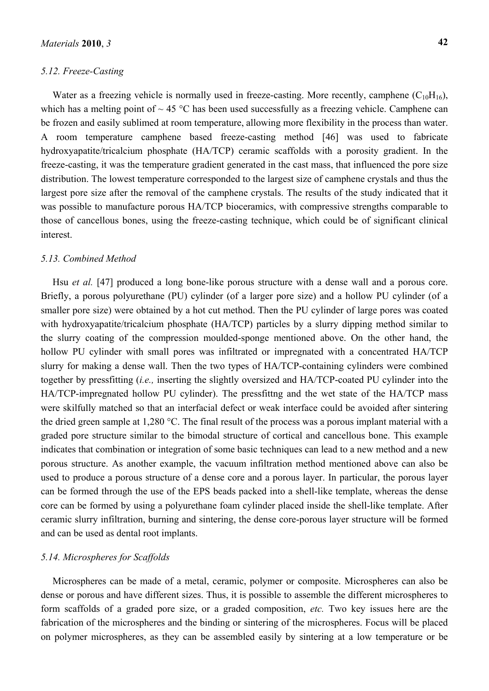## *5.12. Freeze-Casting*

Water as a freezing vehicle is normally used in freeze-casting. More recently, camphene  $(C_{10}H_{16})$ , which has a melting point of  $\sim$  45 °C has been used successfully as a freezing vehicle. Camphene can be frozen and easily sublimed at room temperature, allowing more flexibility in the process than water. A room temperature camphene based freeze-casting method [46] was used to fabricate hydroxyapatite/tricalcium phosphate (HA/TCP) ceramic scaffolds with a porosity gradient. In the freeze-casting, it was the temperature gradient generated in the cast mass, that influenced the pore size distribution. The lowest temperature corresponded to the largest size of camphene crystals and thus the largest pore size after the removal of the camphene crystals. The results of the study indicated that it was possible to manufacture porous HA/TCP bioceramics, with compressive strengths comparable to those of cancellous bones, using the freeze-casting technique, which could be of significant clinical interest.

#### *5.13. Combined Method*

Hsu *et al.* [47] produced a long bone-like porous structure with a dense wall and a porous core. Briefly, a porous polyurethane (PU) cylinder (of a larger pore size) and a hollow PU cylinder (of a smaller pore size) were obtained by a hot cut method. Then the PU cylinder of large pores was coated with hydroxyapatite/tricalcium phosphate (HA/TCP) particles by a slurry dipping method similar to the slurry coating of the compression moulded-sponge mentioned above. On the other hand, the hollow PU cylinder with small pores was infiltrated or impregnated with a concentrated HA/TCP slurry for making a dense wall. Then the two types of HA/TCP-containing cylinders were combined together by pressfitting (*i.e.,* inserting the slightly oversized and HA/TCP-coated PU cylinder into the HA/TCP-impregnated hollow PU cylinder). The pressfittng and the wet state of the HA/TCP mass were skilfully matched so that an interfacial defect or weak interface could be avoided after sintering the dried green sample at 1,280 °C. The final result of the process was a porous implant material with a graded pore structure similar to the bimodal structure of cortical and cancellous bone. This example indicates that combination or integration of some basic techniques can lead to a new method and a new porous structure. As another example, the vacuum infiltration method mentioned above can also be used to produce a porous structure of a dense core and a porous layer. In particular, the porous layer can be formed through the use of the EPS beads packed into a shell-like template, whereas the dense core can be formed by using a polyurethane foam cylinder placed inside the shell-like template. After ceramic slurry infiltration, burning and sintering, the dense core-porous layer structure will be formed and can be used as dental root implants.

#### *5.14. Microspheres for Scaffolds*

Microspheres can be made of a metal, ceramic, polymer or composite. Microspheres can also be dense or porous and have different sizes. Thus, it is possible to assemble the different microspheres to form scaffolds of a graded pore size, or a graded composition, *etc.* Two key issues here are the fabrication of the microspheres and the binding or sintering of the microspheres. Focus will be placed on polymer microspheres, as they can be assembled easily by sintering at a low temperature or be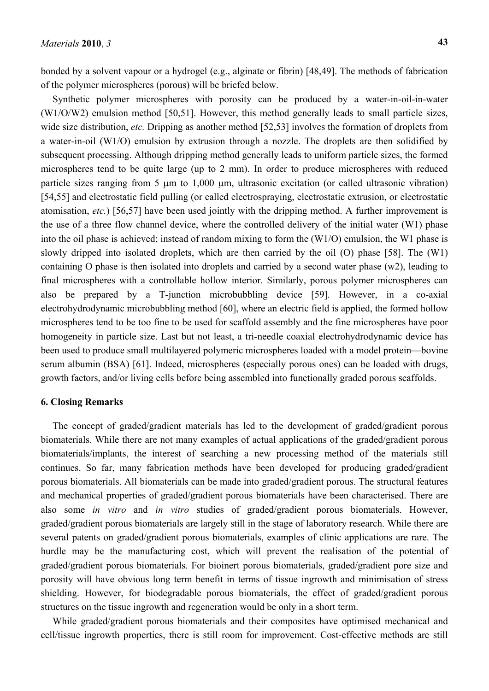bonded by a solvent vapour or a hydrogel (e.g., alginate or fibrin) [48,49]. The methods of fabrication of the polymer microspheres (porous) will be briefed below.

Synthetic polymer microspheres with porosity can be produced by a water-in-oil-in-water (W1/O/W2) emulsion method [50,51]. However, this method generally leads to small particle sizes, wide size distribution, *etc.* Dripping as another method [52,53] involves the formation of droplets from a water-in-oil (W1/O) emulsion by extrusion through a nozzle. The droplets are then solidified by subsequent processing. Although dripping method generally leads to uniform particle sizes, the formed microspheres tend to be quite large (up to 2 mm). In order to produce microspheres with reduced particle sizes ranging from 5 μm to 1,000 μm, ultrasonic excitation (or called ultrasonic vibration) [54,55] and electrostatic field pulling (or called electrospraying, electrostatic extrusion, or electrostatic atomisation, *etc.*) [56,57] have been used jointly with the dripping method. A further improvement is the use of a three flow channel device, where the controlled delivery of the initial water (W1) phase into the oil phase is achieved; instead of random mixing to form the (W1/O) emulsion, the W1 phase is slowly dripped into isolated droplets, which are then carried by the oil (O) phase [58]. The (W1) containing O phase is then isolated into droplets and carried by a second water phase (w2), leading to final microspheres with a controllable hollow interior. Similarly, porous polymer microspheres can also be prepared by a T-junction microbubbling device [59]. However, in a co-axial electrohydrodynamic microbubbling method [60], where an electric field is applied, the formed hollow microspheres tend to be too fine to be used for scaffold assembly and the fine microspheres have poor homogeneity in particle size. Last but not least, a tri-needle coaxial electrohydrodynamic device has been used to produce small multilayered polymeric microspheres loaded with a model protein—bovine serum albumin (BSA) [61]. Indeed, microspheres (especially porous ones) can be loaded with drugs, growth factors, and/or living cells before being assembled into functionally graded porous scaffolds.

## **6. Closing Remarks**

The concept of graded/gradient materials has led to the development of graded/gradient porous biomaterials. While there are not many examples of actual applications of the graded/gradient porous biomaterials/implants, the interest of searching a new processing method of the materials still continues. So far, many fabrication methods have been developed for producing graded/gradient porous biomaterials. All biomaterials can be made into graded/gradient porous. The structural features and mechanical properties of graded/gradient porous biomaterials have been characterised. There are also some *in vitro* and *in vitro* studies of graded/gradient porous biomaterials. However, graded/gradient porous biomaterials are largely still in the stage of laboratory research. While there are several patents on graded/gradient porous biomaterials, examples of clinic applications are rare. The hurdle may be the manufacturing cost, which will prevent the realisation of the potential of graded/gradient porous biomaterials. For bioinert porous biomaterials, graded/gradient pore size and porosity will have obvious long term benefit in terms of tissue ingrowth and minimisation of stress shielding. However, for biodegradable porous biomaterials, the effect of graded/gradient porous structures on the tissue ingrowth and regeneration would be only in a short term.

While graded/gradient porous biomaterials and their composites have optimised mechanical and cell/tissue ingrowth properties, there is still room for improvement. Cost-effective methods are still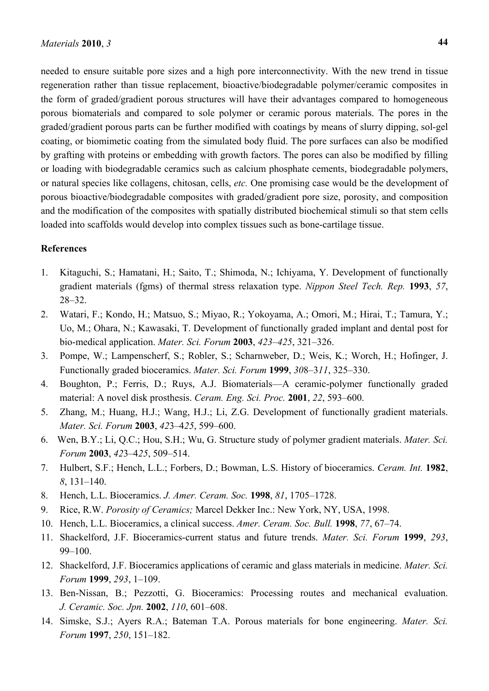needed to ensure suitable pore sizes and a high pore interconnectivity. With the new trend in tissue regeneration rather than tissue replacement, bioactive/biodegradable polymer/ceramic composites in the form of graded/gradient porous structures will have their advantages compared to homogeneous porous biomaterials and compared to sole polymer or ceramic porous materials. The pores in the graded/gradient porous parts can be further modified with coatings by means of slurry dipping, sol-gel coating, or biomimetic coating from the simulated body fluid. The pore surfaces can also be modified by grafting with proteins or embedding with growth factors. The pores can also be modified by filling or loading with biodegradable ceramics such as calcium phosphate cements, biodegradable polymers, or natural species like collagens, chitosan, cells, *etc.* One promising case would be the development of porous bioactive/biodegradable composites with graded/gradient pore size, porosity, and composition and the modification of the composites with spatially distributed biochemical stimuli so that stem cells loaded into scaffolds would develop into complex tissues such as bone-cartilage tissue.

## **References**

- 1. Kitaguchi, S.; Hamatani, H.; Saito, T.; Shimoda, N.; Ichiyama, Y. Development of functionally gradient materials (fgms) of thermal stress relaxation type. *Nippon Steel Tech. Rep.* **1993**, *57*, 28–32.
- 2. Watari, F.; Kondo, H.; Matsuo, S.; Miyao, R.; Yokoyama, A.; Omori, M.; Hirai, T.; Tamura, Y.; Uo, M.; Ohara, N.; Kawasaki, T. Development of functionally graded implant and dental post for bio-medical application. *Mater. Sci. Forum* **2003**, *423–425*, 321–326.
- 3. Pompe, W.; Lampenscherf, S.; Robler, S.; Scharnweber, D.; Weis, K.; Worch, H.; Hofinger, J. Functionally graded bioceramics. *Mater. Sci. Forum* **1999**, *30*8–3*11*, 325–330.
- 4. Boughton, P.; Ferris, D.; Ruys, A.J. Biomaterials—A ceramic-polymer functionally graded material: A novel disk prosthesis. *Ceram. Eng. Sci. Proc.* **2001**, *22*, 593–600.
- 5. Zhang, M.; Huang, H.J.; Wang, H.J.; Li, Z.G. Development of functionally gradient materials. *Mater. Sci. Forum* **2003**, *42*3–4*25*, 599–600.
- 6. Wen, B.Y.; Li, Q.C.; Hou, S.H.; Wu, G. Structure study of polymer gradient materials. *Mater. Sci. Forum* **2003**, *42*3–4*25*, 509–514.
- 7. Hulbert, S.F.; Hench, L.L.; Forbers, D.; Bowman, L.S. History of bioceramics. *Ceram. Int.* **1982**, *8*, 131–140.
- 8. Hench, L.L. Bioceramics. *J. Amer. Ceram. Soc.* **1998**, *81*, 1705–1728.
- 9. Rice, R.W. *Porosity of Ceramics;* Marcel Dekker Inc.: New York, NY, USA, 1998.
- 10. Hench, L.L. Bioceramics, a clinical success. *Amer. Ceram. Soc. Bull.* **1998**, *77*, 67–74.
- 11. Shackelford, J.F. Bioceramics-current status and future trends. *Mater. Sci. Forum* **1999**, *293*, 99–100.
- 12. Shackelford, J.F. Bioceramics applications of ceramic and glass materials in medicine. *Mater. Sci. Forum* **1999**, *293*, 1–109.
- 13. Ben-Nissan, B.; Pezzotti, G. Bioceramics: Processing routes and mechanical evaluation. *J. Ceramic. Soc. Jpn.* **2002**, *110*, 601–608.
- 14. Simske, S.J.; Ayers R.A.; Bateman T.A. Porous materials for bone engineering. *Mater. Sci. Forum* **1997**, *250*, 151–182.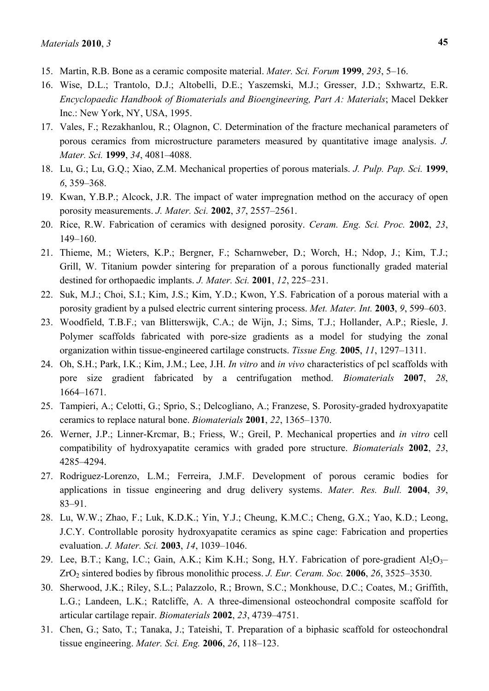- 15. Martin, R.B. Bone as a ceramic composite material. *Mater. Sci. Forum* **1999**, *293*, 5–16.
- 16. Wise, D.L.; Trantolo, D.J.; Altobelli, D.E.; Yaszemski, M.J.; Gresser, J.D.; Sxhwartz, E.R. *Encyclopaedic Handbook of Biomaterials and Bioengineering, Part A: Materials*; Macel Dekker Inc.: New York, NY, USA, 1995.
- 17. Vales, F.; Rezakhanlou, R.; Olagnon, C. Determination of the fracture mechanical parameters of porous ceramics from microstructure parameters measured by quantitative image analysis. *J. Mater. Sci.* **1999**, *34*, 4081–4088.
- 18. Lu, G.; Lu, G.Q.; Xiao, Z.M. Mechanical properties of porous materials. *J. Pulp. Pap. Sci.* **1999**, *6*, 359–368.
- 19. Kwan, Y.B.P.; Alcock, J.R. The impact of water impregnation method on the accuracy of open porosity measurements. *J. Mater. Sci.* **2002**, *37*, 2557–2561.
- 20. Rice, R.W. Fabrication of ceramics with designed porosity. *Ceram. Eng. Sci. Proc.* **2002**, *23*, 149–160.
- 21. Thieme, M.; Wieters, K.P.; Bergner, F.; Scharnweber, D.; Worch, H.; Ndop, J.; Kim, T.J.; Grill, W. Titanium powder sintering for preparation of a porous functionally graded material destined for orthopaedic implants. *J. Mater. Sci.* **2001**, *12*, 225–231.
- 22. Suk, M.J.; Choi, S.I.; Kim, J.S.; Kim, Y.D.; Kwon, Y.S. Fabrication of a porous material with a porosity gradient by a pulsed electric current sintering process. *Met. Mater. Int.* **2003**, *9*, 599–603.
- 23. Woodfield, T.B.F.; van Blitterswijk, C.A.; de Wijn, J.; Sims, T.J.; Hollander, A.P.; Riesle, J. Polymer scaffolds fabricated with pore-size gradients as a model for studying the zonal organization within tissue-engineered cartilage constructs. *Tissue Eng.* **2005**, *11*, 1297–1311.
- 24. Oh, S.H.; Park, I.K.; Kim, J.M.; Lee, J.H. *In vitro* and *in vivo* characteristics of pcl scaffolds with pore size gradient fabricated by a centrifugation method. *Biomaterials* **2007**, *28*, 1664–1671.
- 25. Tampieri, A.; Celotti, G.; Sprio, S.; Delcogliano, A.; Franzese, S. Porosity-graded hydroxyapatite ceramics to replace natural bone. *Biomaterials* **2001**, *22*, 1365–1370.
- 26. Werner, J.P.; Linner-Krcmar, B.; Friess, W.; Greil, P. Mechanical properties and *in vitro* cell compatibility of hydroxyapatite ceramics with graded pore structure. *Biomaterials* **2002**, *23*, 4285–4294.
- 27. Rodriguez-Lorenzo, L.M.; Ferreira, J.M.F. Development of porous ceramic bodies for applications in tissue engineering and drug delivery systems. *Mater. Res. Bull.* **2004**, *39*, 83–91.
- 28. Lu, W.W.; Zhao, F.; Luk, K.D.K.; Yin, Y.J.; Cheung, K.M.C.; Cheng, G.X.; Yao, K.D.; Leong, J.C.Y. Controllable porosity hydroxyapatite ceramics as spine cage: Fabrication and properties evaluation. *J. Mater. Sci.* **2003**, *14*, 1039–1046.
- 29. Lee, B.T.; Kang, I.C.; Gain, A.K.; Kim K.H.; Song, H.Y. Fabrication of pore-gradient  $Al_2O_3$ -ZrO<sub>2</sub> sintered bodies by fibrous monolithic process. *J. Eur. Ceram. Soc.* **2006**, *26*, 3525–3530.
- 30. Sherwood, J.K.; Riley, S.L.; Palazzolo, R.; Brown, S.C.; Monkhouse, D.C.; Coates, M.; Griffith, L.G.; Landeen, L.K.; Ratcliffe, A. A three-dimensional osteochondral composite scaffold for articular cartilage repair. *Biomaterials* **2002**, *23*, 4739–4751.
- 31. Chen, G.; Sato, T.; Tanaka, J.; Tateishi, T. Preparation of a biphasic scaffold for osteochondral tissue engineering. *Mater. Sci. Eng.* **2006**, *26*, 118–123.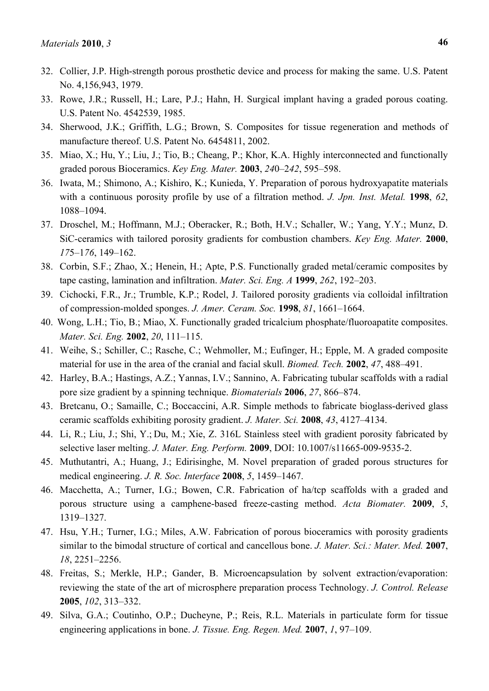- 32. Collier, J.P. High-strength porous prosthetic device and process for making the same. U.S. Patent No. 4,156,943, 1979.
- 33. Rowe, J.R.; Russell, H.; Lare, P.J.; Hahn, H. Surgical implant having a graded porous coating. U.S. Patent No. 4542539, 1985.
- 34. Sherwood, J.K.; Griffith, L.G.; Brown, S. Composites for tissue regeneration and methods of manufacture thereof. U.S. Patent No. 6454811, 2002.
- 35. Miao, X.; Hu, Y.; Liu, J.; Tio, B.; Cheang, P.; Khor, K.A. Highly interconnected and functionally graded porous Bioceramics. *Key Eng. Mater.* **2003**, *24*0–2*42*, 595–598.
- 36. Iwata, M.; Shimono, A.; Kishiro, K.; Kunieda, Y. Preparation of porous hydroxyapatite materials with a continuous porosity profile by use of a filtration method. *J. Jpn. Inst. Metal.* **1998**, *62*, 1088–1094.
- 37. Droschel, M.; Hoffmann, M.J.; Oberacker, R.; Both, H.V.; Schaller, W.; Yang, Y.Y.; Munz, D. SiC-ceramics with tailored porosity gradients for combustion chambers. *Key Eng. Mater.* **2000**, *17*5–1*76*, 149–162.
- 38. Corbin, S.F.; Zhao, X.; Henein, H.; Apte, P.S. Functionally graded metal/ceramic composites by tape casting, lamination and infiltration. *Mater. Sci. Eng. A* **1999**, *262*, 192–203.
- 39. Cichocki, F.R., Jr.; Trumble, K.P.; Rodel, J. Tailored porosity gradients via colloidal infiltration of compression-molded sponges. *J. Amer. Ceram. Soc.* **1998**, *81*, 1661–1664.
- 40. Wong, L.H.; Tio, B.; Miao, X. Functionally graded tricalcium phosphate/fluoroapatite composites. *Mater. Sci. Eng.* **2002**, *20*, 111–115.
- 41. Weihe, S.; Schiller, C.; Rasche, C.; Wehmoller, M.; Eufinger, H.; Epple, M. A graded composite material for use in the area of the cranial and facial skull. *Biomed. Tech.* **2002**, *47*, 488–491.
- 42. Harley, B.A.; Hastings, A.Z.; Yannas, I.V.; Sannino, A. Fabricating tubular scaffolds with a radial pore size gradient by a spinning technique. *Biomaterials* **2006**, *27*, 866–874.
- 43. Bretcanu, O.; Samaille, C.; Boccaccini, A.R. Simple methods to fabricate bioglass-derived glass ceramic scaffolds exhibiting porosity gradient. *J. Mater. Sci.* **2008**, *43*, 4127–4134.
- 44. Li, R.; Liu, J.; Shi, Y.; Du, M.; Xie, Z. 316L Stainless steel with gradient porosity fabricated by selective laser melting. *J. Mater. Eng. Perform.* **2009**, DOI: 10.1007/s11665-009-9535-2.
- 45. Muthutantri, A.; Huang, J.; Edirisinghe, M. Novel preparation of graded porous structures for medical engineering. *J. R. Soc. Interface* **2008**, *5*, 1459–1467.
- 46. Macchetta, A.; Turner, I.G.; Bowen, C.R. Fabrication of ha/tcp scaffolds with a graded and porous structure using a camphene-based freeze-casting method. *Acta Biomater.* **2009**, *5*, 1319–1327.
- 47. Hsu, Y.H.; Turner, I.G.; Miles, A.W. Fabrication of porous bioceramics with porosity gradients similar to the bimodal structure of cortical and cancellous bone. *J. Mater. Sci.: Mater. Med.* **2007**, *18*, 2251–2256.
- 48. Freitas, S.; Merkle, H.P.; Gander, B. Microencapsulation by solvent extraction/evaporation: reviewing the state of the art of microsphere preparation process Technology. *J. Control. Release* **2005**, *102*, 313–332.
- 49. Silva, G.A.; Coutinho, O.P.; Ducheyne, P.; Reis, R.L. Materials in particulate form for tissue engineering applications in bone. *J. Tissue. Eng. Regen. Med.* **2007**, *1*, 97–109.